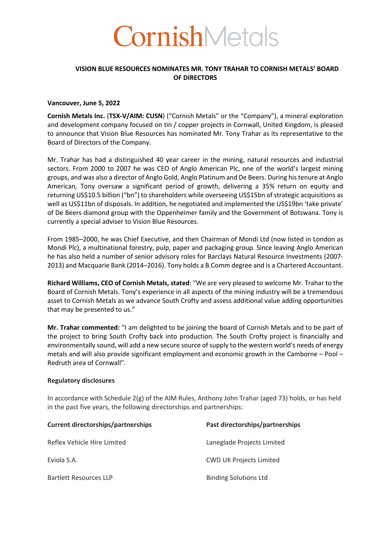

# **VISION BLUE RESOURCES NOMINATES MR. TONY TRAHAR TO CORNISH METALS' BOARD OF DIRECTORS**

#### **Vancouver, June 5, 2022**

**Cornish Metals Inc.** (**TSX-V/AIM: CUSN**) ("Cornish Metals" or the "Company"), a mineral exploration and development company focused on tin / copper projects in Cornwall, United Kingdom, is pleased to announce that Vision Blue Resources has nominated Mr. Tony Trahar as its representative to the Board of Directors of the Company.

Mr. Trahar has had a distinguished 40 year career in the mining, natural resources and industrial sectors. From 2000 to 2007 he was CEO of Anglo American Plc, one of the world's largest mining groups, and was also a director of Anglo Gold, Anglo Platinum and De Beers. During his tenure at Anglo American, Tony oversaw a significant period of growth, delivering a 35% return on equity and returning US\$10.5 billion ("bn") to shareholders while overseeing US\$15bn of strategic acquisitions as well as US\$11bn of disposals. In addition, he negotiated and implemented the US\$19bn 'take private' of De Beers diamond group with the Oppenheimer family and the Government of Botswana. Tony is currently a special adviser to Vision Blue Resources.

From 1985–2000, he was Chief Executive, and then Chairman of Mondi Ltd (now listed in London as Mondi Plc), a multinational forestry, pulp, paper and packaging group. Since leaving Anglo American he has also held a number of senior advisory roles for Barclays Natural Resource Investments (2007- 2013) and Macquarie Bank (2014–2016). Tony holds a B.Comm degree and is a Chartered Accountant.

**Richard Williams, CEO of Cornish Metals, stated**: "We are very pleased to welcome Mr. Trahar to the Board of Cornish Metals. Tony's experience in all aspects of the mining industry will be a tremendous asset to Cornish Metals as we advance South Crofty and assess additional value adding opportunities that may be presented to us."

**Mr. Trahar commented:** "I am delighted to be joining the board of Cornish Metals and to be part of the project to bring South Crofty back into production. The South Crofty project is financially and environmentally sound, will add a new secure source of supply to the western world's needs of energy metals and will also provide significant employment and economic growth in the Camborne – Pool – Redruth area of Cornwall".

## **Regulatory disclosures**

In accordance with Schedule 2(g) of the AIM Rules, Anthony John Trahar (aged 73) holds, or has held in the past five years, the following directorships and partnerships:

| <b>Current directorships/partnerships</b> | Past directorships/partnerships |
|-------------------------------------------|---------------------------------|
| Reflex Vehicle Hire Limited               | Laneglade Projects Limited      |
| Eviola S.A.                               | <b>CWD UK Projects Limited</b>  |
| <b>Bartlett Resources LLP</b>             | <b>Binding Solutions Ltd</b>    |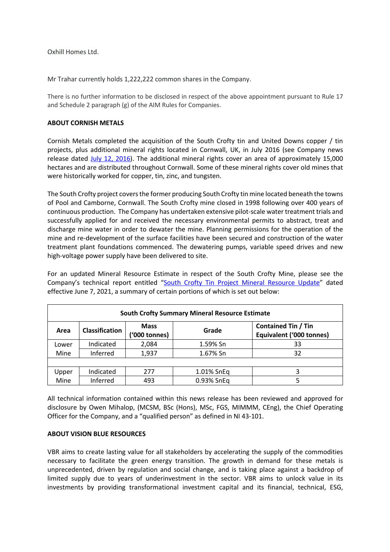Oxhill Homes Ltd.

Mr Trahar currently holds 1,222,222 common shares in the Company.

There is no further information to be disclosed in respect of the above appointment pursuant to Rule 17 and Schedule 2 paragraph (g) of the AIM Rules for Companies.

#### **ABOUT CORNISH METALS**

Cornish Metals completed the acquisition of the South Crofty tin and United Downs copper / tin projects, plus additional mineral rights located in Cornwall, UK, in July 2016 (see Company news release dated July 12, 2016). The additional mineral rights cover an area of approximately 15,000 hectares and are distributed throughout Cornwall. Some of these mineral rights cover old mines that were historically worked for copper, tin, zinc, and tungsten.

The South Crofty project covers the former producing South Crofty tin mine located beneath the towns of Pool and Camborne, Cornwall. The South Crofty mine closed in 1998 following over 400 years of continuous production. The Company has undertaken extensive pilot-scale water treatment trials and successfully applied for and received the necessary environmental permits to abstract, treat and discharge mine water in order to dewater the mine. Planning permissions for the operation of the mine and re-development of the surface facilities have been secured and construction of the water treatment plant foundations commenced. The dewatering pumps, variable speed drives and new high-voltage power supply have been delivered to site.

For an updated Mineral Resource Estimate in respect of the South Crofty Mine, please see the Company's technical report entitled "South Crofty Tin Project Mineral Resource Update" dated effective June 7, 2021, a summary of certain portions of which is set out below:

| <b>South Crofty Summary Mineral Resource Estimate</b> |                       |                              |            |                                                        |  |  |
|-------------------------------------------------------|-----------------------|------------------------------|------------|--------------------------------------------------------|--|--|
| Area                                                  | <b>Classification</b> | <b>Mass</b><br>('000 tonnes) | Grade      | <b>Contained Tin / Tin</b><br>Equivalent ('000 tonnes) |  |  |
| Lower                                                 | Indicated             | 2,084                        | 1.59% Sn   | 33                                                     |  |  |
| Mine                                                  | Inferred              | 1,937                        | 1.67% Sn   | 32                                                     |  |  |
|                                                       |                       |                              |            |                                                        |  |  |
| Upper                                                 | Indicated             | 277                          | 1.01% SnEq | 3                                                      |  |  |
| Mine                                                  | Inferred              | 493                          | 0.93% SnEq |                                                        |  |  |

All technical information contained within this news release has been reviewed and approved for disclosure by Owen Mihalop, (MCSM, BSc (Hons), MSc, FGS, MIMMM, CEng), the Chief Operating Officer for the Company, and a "qualified person" as defined in NI 43-101.

## **ABOUT VISION BLUE RESOURCES**

VBR aims to create lasting value for all stakeholders by accelerating the supply of the commodities necessary to facilitate the green energy transition. The growth in demand for these metals is unprecedented, driven by regulation and social change, and is taking place against a backdrop of limited supply due to years of underinvestment in the sector. VBR aims to unlock value in its investments by providing transformational investment capital and its financial, technical, ESG,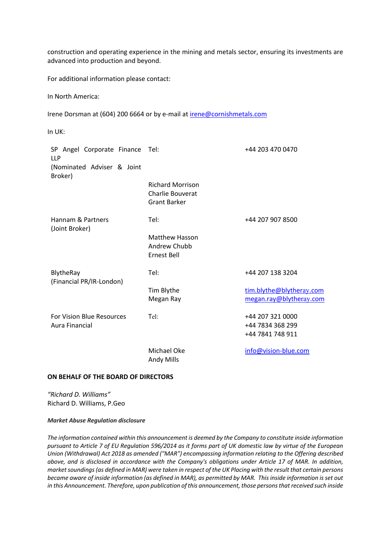construction and operating experience in the mining and metals sector, ensuring its investments are advanced into production and beyond.

For additional information please contact:

In North America:

Irene Dorsman at (604) 200 6664 or by e-mail at irene@cornishmetals.com

In UK:

| SP Angel Corporate Finance Tel:<br><b>LLP</b>      |                                                                           | +44 203 470 0470                                         |
|----------------------------------------------------|---------------------------------------------------------------------------|----------------------------------------------------------|
| (Nominated Adviser & Joint<br>Broker)              |                                                                           |                                                          |
|                                                    | <b>Richard Morrison</b><br><b>Charlie Bouverat</b><br><b>Grant Barker</b> |                                                          |
| Hannam & Partners<br>(Joint Broker)                | Tel:                                                                      | +44 207 907 8500                                         |
|                                                    | <b>Matthew Hasson</b><br>Andrew Chubb<br><b>Ernest Bell</b>               |                                                          |
| BlytheRay<br>(Financial PR/IR-London)              | Tel:                                                                      | +44 207 138 3204                                         |
|                                                    | Tim Blythe<br>Megan Ray                                                   | tim.blythe@blytheray.com<br>megan.ray@blytheray.com      |
| <b>For Vision Blue Resources</b><br>Aura Financial | Tel:                                                                      | +44 207 321 0000<br>+44 7834 368 299<br>+44 7841 748 911 |
|                                                    | Michael Oke<br><b>Andy Mills</b>                                          | info@vision-blue.com                                     |

## **ON BEHALF OF THE BOARD OF DIRECTORS**

*"Richard D. Williams"* Richard D. Williams, P.Geo

#### *Market Abuse Regulation disclosure*

*The information contained within this announcement is deemed by the Company to constitute inside information pursuant to Article 7 of EU Regulation 596/2014 as it forms part of UK domestic law by virtue of the European Union (Withdrawal) Act 2018 as amended ("MAR") encompassing information relating to the Offering described above, and is disclosed in accordance with the Company's obligations under Article 17 of MAR. In addition, market soundings (as defined in MAR) were taken in respect of the UK Placing with the result that certain persons became aware of inside information (as defined in MAR), as permitted by MAR. This inside information is set out in this Announcement. Therefore, upon publication of this announcement, those persons that received such inside*